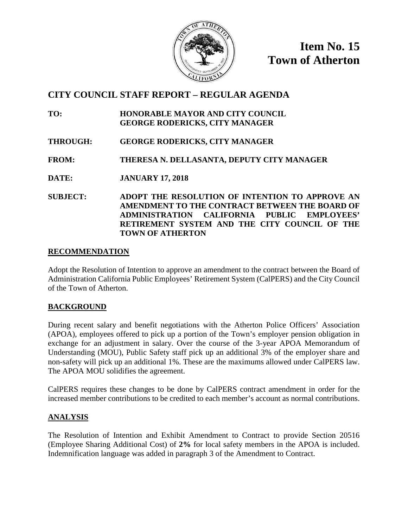

**Item No. 15 Town of Atherton**

# **CITY COUNCIL STAFF REPORT – REGULAR AGENDA**

- **TO: HONORABLE MAYOR AND CITY COUNCIL GEORGE RODERICKS, CITY MANAGER**
- **THROUGH: GEORGE RODERICKS, CITY MANAGER**
- **FROM: THERESA N. DELLASANTA, DEPUTY CITY MANAGER**
- **DATE: JANUARY 17, 2018**
- **SUBJECT: ADOPT THE RESOLUTION OF INTENTION TO APPROVE AN AMENDMENT TO THE CONTRACT BETWEEN THE BOARD OF ADMINISTRATION CALIFORNIA PUBLIC EMPLOYEES' RETIREMENT SYSTEM AND THE CITY COUNCIL OF THE TOWN OF ATHERTON**

#### **RECOMMENDATION**

Adopt the Resolution of Intention to approve an amendment to the contract between the Board of Administration California Public Employees' Retirement System (CalPERS) and the City Council of the Town of Atherton.

## **BACKGROUND**

During recent salary and benefit negotiations with the Atherton Police Officers' Association (APOA), employees offered to pick up a portion of the Town's employer pension obligation in exchange for an adjustment in salary. Over the course of the 3-year APOA Memorandum of Understanding (MOU), Public Safety staff pick up an additional 3% of the employer share and non-safety will pick up an additional 1%. These are the maximums allowed under CalPERS law. The APOA MOU solidifies the agreement.

CalPERS requires these changes to be done by CalPERS contract amendment in order for the increased member contributions to be credited to each member's account as normal contributions.

# **ANALYSIS**

The Resolution of Intention and Exhibit Amendment to Contract to provide Section 20516 (Employee Sharing Additional Cost) of **2%** for local safety members in the APOA is included. Indemnification language was added in paragraph 3 of the Amendment to Contract.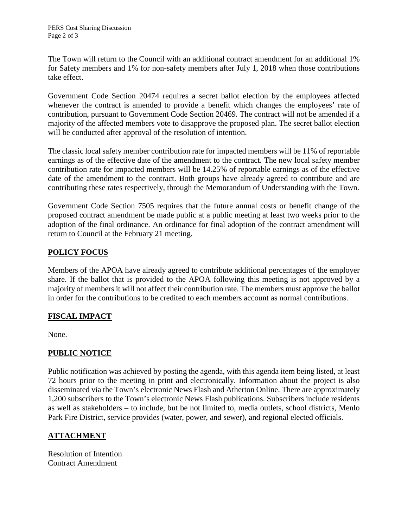The Town will return to the Council with an additional contract amendment for an additional 1% for Safety members and 1% for non-safety members after July 1, 2018 when those contributions take effect.

Government Code Section 20474 requires a secret ballot election by the employees affected whenever the contract is amended to provide a benefit which changes the employees' rate of contribution, pursuant to Government Code Section 20469. The contract will not be amended if a majority of the affected members vote to disapprove the proposed plan. The secret ballot election will be conducted after approval of the resolution of intention.

The classic local safety member contribution rate for impacted members will be 11% of reportable earnings as of the effective date of the amendment to the contract. The new local safety member contribution rate for impacted members will be 14.25% of reportable earnings as of the effective date of the amendment to the contract. Both groups have already agreed to contribute and are contributing these rates respectively, through the Memorandum of Understanding with the Town.

Government Code Section 7505 requires that the future annual costs or benefit change of the proposed contract amendment be made public at a public meeting at least two weeks prior to the adoption of the final ordinance. An ordinance for final adoption of the contract amendment will return to Council at the February 21 meeting.

## **POLICY FOCUS**

Members of the APOA have already agreed to contribute additional percentages of the employer share. If the ballot that is provided to the APOA following this meeting is not approved by a majority of members it will not affect their contribution rate. The members must approve the ballot in order for the contributions to be credited to each members account as normal contributions.

## **FISCAL IMPACT**

None.

# **PUBLIC NOTICE**

Public notification was achieved by posting the agenda, with this agenda item being listed, at least 72 hours prior to the meeting in print and electronically. Information about the project is also disseminated via the Town's electronic News Flash and Atherton Online. There are approximately 1,200 subscribers to the Town's electronic News Flash publications. Subscribers include residents as well as stakeholders – to include, but be not limited to, media outlets, school districts, Menlo Park Fire District, service provides (water, power, and sewer), and regional elected officials.

# **ATTACHMENT**

Resolution of Intention Contract Amendment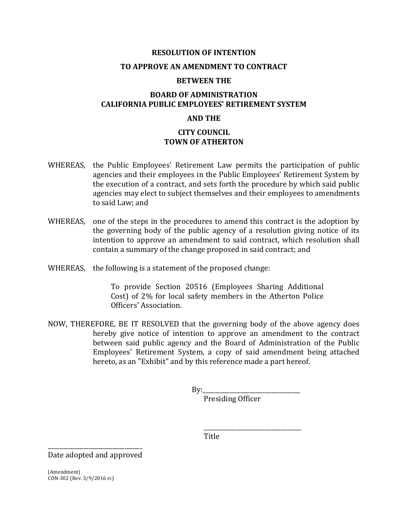#### **RESOLUTION OF INTENTION**

#### **TO APPROVE AN AMENDMENT TO CONTRACT**

#### **BETWEEN THE**

#### **BOARD OF ADMINISTRATION CALIFORNIA PUBLIC EMPLOYEES' RETIREMENT SYSTEM**

#### **AND THE**

#### **CITY COUNCIL TOWN OF ATHERTON**

- WHEREAS, the Public Employees' Retirement Law permits the participation of public agencies and their employees in the Public Employees' Retirement System by the execution of a contract, and sets forth the procedure by which said public agencies may elect to subject themselves and their employees to amendments to said Law; and
- WHEREAS, one of the steps in the procedures to amend this contract is the adoption by the governing body of the public agency of a resolution giving notice of its intention to approve an amendment to said contract, which resolution shall contain a summary of the change proposed in said contract; and
- WHEREAS, the following is a statement of the proposed change:

To provide Section 20516 (Employees Sharing Additional Cost) of 2% for local safety members in the Atherton Police Officers' Association.

NOW, THEREFORE, BE IT RESOLVED that the governing body of the above agency does hereby give notice of intention to approve an amendment to the contract between said public agency and the Board of Administration of the Public Employees' Retirement System, a copy of said amendment being attached hereto, as an "Exhibit" and by this reference made a part hereof.

> $Bv:$ Presiding Officer

> > \_\_\_\_\_\_\_\_\_\_\_\_\_\_\_\_\_\_\_\_\_\_\_\_\_\_\_\_\_\_\_\_\_

Title

\_\_\_\_\_\_\_\_\_\_\_\_\_\_\_\_\_\_\_\_\_\_\_\_\_\_\_\_\_\_\_\_ Date adopted and approved

(Amendment) CON-302 (Rev. 3/9/2016 rc)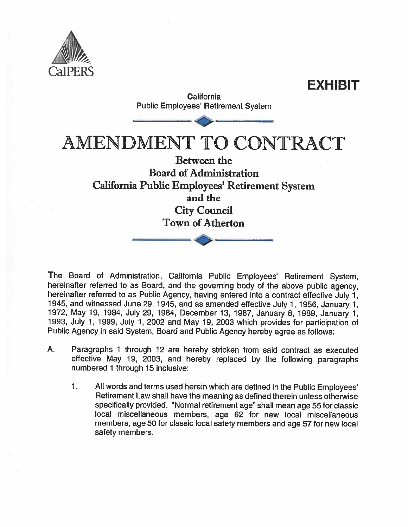

**California Public Employees' Retirement System**  **EXHIBIT** 

AMENDMENT TO CONTRACT

# **Between the Board of Administration** California Public Employees' Retirement System and the **City Council Town of Atherton**

The Board of Administration, California Public Employees' Retirement System, hereinafter referred to as Board, and the governing body of the above public agency, hereinafter referred to as Public Agency, having entered into a contract effective July 1, 1945, and witnessed June 29, 1945, and as amended effective July 1, 1956, January 1, 1972, May 19, 1984, July 29, 1984, December 13, 1987, January 8, 1989, January 1, 1993, July 1, 1999, July 1, 2002 and May 19, 2003 which provides for participation of Public Agency in said System, Board and Public Agency hereby agree as follows:

- A. Paragraphs 1 through 12 are hereby stricken from said contract as executed effective May 19, 2003, and hereby replaced by the following paragraphs numbered 1 through 15 inclusive:
	- $\mathbf{1}$ . All words and terms used herein which are defined in the Public Employees' Retirement Law shall have the meaning as defined therein unless otherwise specifically provided. "Normal retirement age" shall mean age 55 for classic local miscellaneous members, age 62 for new local miscellaneous members, age 50 for classic local safety members and age 57 for new local safety members.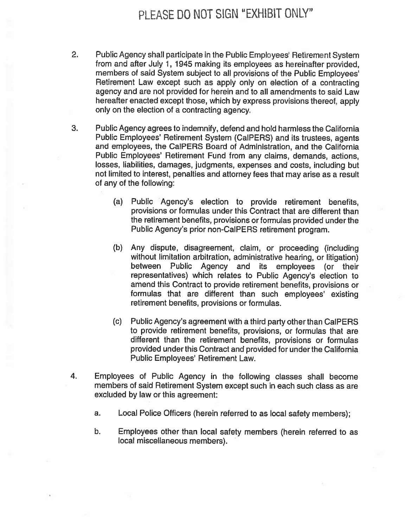# PLEASE DO NOT SIGN "EXHIBIT ONLY"

- $2.$ Public Agency shall participate in the Public Employees' Retirement System from and after July 1, 1945 making its employees as hereinafter provided. members of said System subject to all provisions of the Public Employees' Retirement Law except such as apply only on election of a contracting agency and are not provided for herein and to all amendments to said Law hereafter enacted except those, which by express provisions thereof, apply only on the election of a contracting agency.
- 3. Public Agency agrees to indemnify, defend and hold harmless the California Public Employees' Retirement System (CalPERS) and its trustees, agents and employees, the CalPERS Board of Administration, and the California Public Emplovees' Retirement Fund from any claims, demands, actions, losses, liabilities, damages, judgments, expenses and costs, including but not limited to interest, penalties and attorney fees that may arise as a result of any of the following:
	- $(a)$ Public Agency's election to provide retirement benefits. provisions or formulas under this Contract that are different than the retirement benefits, provisions or formulas provided under the Public Agency's prior non-CalPERS retirement program.
	- (b) Any dispute, disagreement, claim, or proceeding (including without limitation arbitration, administrative hearing, or litigation) between Public Agency and its employees (or their representatives) which relates to Public Agency's election to amend this Contract to provide retirement benefits, provisions or formulas that are different than such employees' existing retirement benefits, provisions or formulas.
	- (c) -Public Agency's agreement with a third party other than CalPERS to provide retirement benefits, provisions, or formulas that are different than the retirement benefits, provisions or formulas provided under this Contract and provided for under the California Public Employees' Retirement Law.
- 4. Employees of Public Agency in the following classes shall become members of said Retirement System except such in each such class as are excluded by law or this agreement:
	- Local Police Officers (herein referred to as local safety members); a.
	- Employees other than local safety members (herein referred to as b. local miscellaneous members).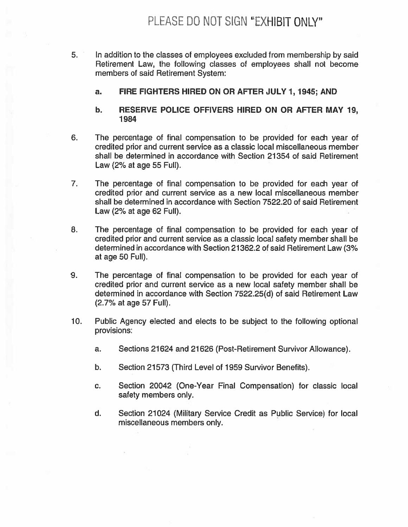- 5. In addition to the classes of employees excluded from membership by said Retirement Law, the following classes of employees shall not become members of said Retirement System:
	- FIRE FIGHTERS HIRED ON OR AFTER JULY 1, 1945; AND a.
	- b. RESERVE POLICE OFFIVERS HIRED ON OR AFTER MAY 19, 1984
- 6. The percentage of final compensation to be provided for each year of credited prior and current service as a classic local miscellaneous member shall be determined in accordance with Section 21354 of said Retirement Law (2% at age 55 Full).
- 7. The percentage of final compensation to be provided for each year of credited prior and current service as a new local miscellaneous member shall be determined in accordance with Section 7522.20 of said Retirement Law (2% at age 62 Full).
- 8. The percentage of final compensation to be provided for each year of credited prior and current service as a classic local safety member shall be determined in accordance with Section 21362.2 of said Retirement Law (3% at age 50 Full).
- 9. The percentage of final compensation to be provided for each year of credited prior and current service as a new local safety member shall be determined in accordance with Section 7522.25(d) of said Retirement Law (2.7% at age 57 Full).
- $10.$ Public Agency elected and elects to be subject to the following optional provisions:
	- a. Sections 21624 and 21626 (Post-Retirement Survivor Allowance).
	- b. Section 21573 (Third Level of 1959 Survivor Benefits).
	- Section 20042 (One-Year Final Compensation) for classic local C. safety members only.
	- Section 21024 (Military Service Credit as Public Service) for local d. miscellaneous members only.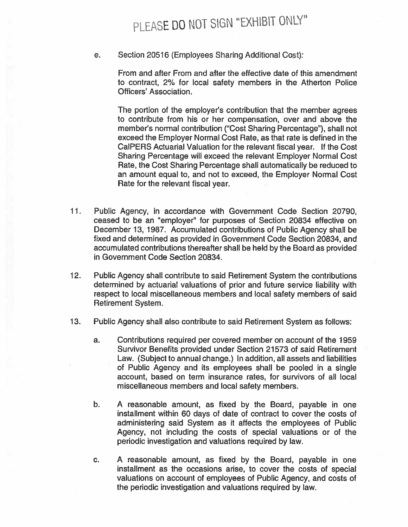# PLEASE DO NOT SIGN "EXHIBIT ONLY"

e. Section 20516 (Employees Sharing Additional Cost):

> From and after From and after the effective date of this amendment to contract, 2% for local safety members in the Atherton Police Officers' Association.

> The portion of the employer's contribution that the member agrees to contribute from his or her compensation, over and above the member's normal contribution ("Cost Sharing Percentage"), shall not exceed the Employer Normal Cost Rate, as that rate is defined in the CalPERS Actuarial Valuation for the relevant fiscal year. If the Cost Sharing Percentage will exceed the relevant Employer Normal Cost Rate, the Cost Sharing Percentage shall automatically be reduced to an amount equal to, and not to exceed, the Employer Normal Cost Rate for the relevant fiscal year.

- $11.$ Public Agency, in accordance with Government Code Section 20790, ceased to be an "employer" for purposes of Section 20834 effective on December 13, 1987. Accumulated contributions of Public Agency shall be fixed and determined as provided in Government Code Section 20834, and accumulated contributions thereafter shall be held by the Board as provided in Government Code Section 20834.
- $12.$ Public Agency shall contribute to said Retirement System the contributions determined by actuarial valuations of prior and future service liability with respect to local miscellaneous members and local safety members of said Retirement System.
- $13.$ Public Agency shall also contribute to said Retirement System as follows:
	- a. Contributions required per covered member on account of the 1959 Survivor Benefits provided under Section 21573 of said Retirement Law. (Subject to annual change.) In addition, all assets and liabilities of Public Agency and its employees shall be pooled in a single account, based on term insurance rates, for survivors of all local miscellaneous members and local safety members.
	- $b<sub>r</sub>$ A reasonable amount, as fixed by the Board, payable in one installment within 60 days of date of contract to cover the costs of administering said System as it affects the employees of Public Agency, not including the costs of special valuations or of the periodic investigation and valuations required by law.
	- A reasonable amount, as fixed by the Board, payable in one C. installment as the occasions arise, to cover the costs of special valuations on account of employees of Public Agency, and costs of the periodic investigation and valuations required by law.